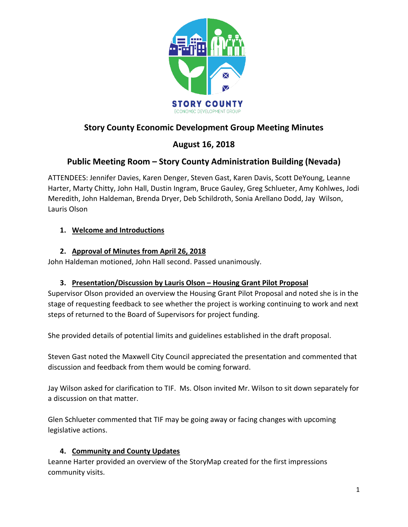

# **Story County Economic Development Group Meeting Minutes**

# **August 16, 2018**

## **Public Meeting Room – Story County Administration Building (Nevada)**

ATTENDEES: Jennifer Davies, Karen Denger, Steven Gast, Karen Davis, Scott DeYoung, Leanne Harter, Marty Chitty, John Hall, Dustin Ingram, Bruce Gauley, Greg Schlueter, Amy Kohlwes, Jodi Meredith, John Haldeman, Brenda Dryer, Deb Schildroth, Sonia Arellano Dodd, Jay Wilson, Lauris Olson

## **1. Welcome and Introductions**

## **2. Approval of Minutes from April 26, 2018**

John Haldeman motioned, John Hall second. Passed unanimously.

## **3. Presentation/Discussion by Lauris Olson – Housing Grant Pilot Proposal**

Supervisor Olson provided an overview the Housing Grant Pilot Proposal and noted she is in the stage of requesting feedback to see whether the project is working continuing to work and next steps of returned to the Board of Supervisors for project funding.

She provided details of potential limits and guidelines established in the draft proposal.

Steven Gast noted the Maxwell City Council appreciated the presentation and commented that discussion and feedback from them would be coming forward.

Jay Wilson asked for clarification to TIF. Ms. Olson invited Mr. Wilson to sit down separately for a discussion on that matter.

Glen Schlueter commented that TIF may be going away or facing changes with upcoming legislative actions.

## **4. Community and County Updates**

Leanne Harter provided an overview of the StoryMap created for the first impressions community visits.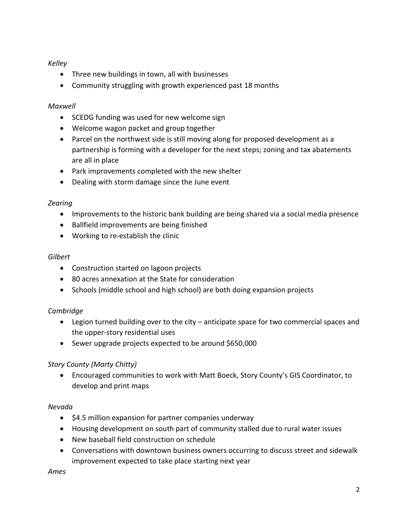### *Kelley*

- Three new buildings in town, all with businesses
- Community struggling with growth experienced past 18 months

## *Maxwell*

- SCEDG funding was used for new welcome sign
- Welcome wagon packet and group together
- Parcel on the northwest side is still moving along for proposed development as a partnership is forming with a developer for the next steps; zoning and tax abatements are all in place
- Park improvements completed with the new shelter
- Dealing with storm damage since the June event

## *Zearing*

- Improvements to the historic bank building are being shared via a social media presence
- Ballfield improvements are being finished
- Working to re-establish the clinic

### *Gilbert*

- Construction started on lagoon projects
- 80 acres annexation at the State for consideration
- Schools (middle school and high school) are both doing expansion projects

## *Cambridge*

- Legion turned building over to the city anticipate space for two commercial spaces and the upper-story residential uses
- Sewer upgrade projects expected to be around \$650,000

## *Story County (Marty Chitty)*

• Encouraged communities to work with Matt Boeck, Story County's GIS Coordinator, to develop and print maps

### *Nevada*

- \$4.5 million expansion for partner companies underway
- Housing development on south part of community stalled due to rural water issues
- New baseball field construction on schedule
- Conversations with downtown business owners occurring to discuss street and sidewalk improvement expected to take place starting next year

### *Ames*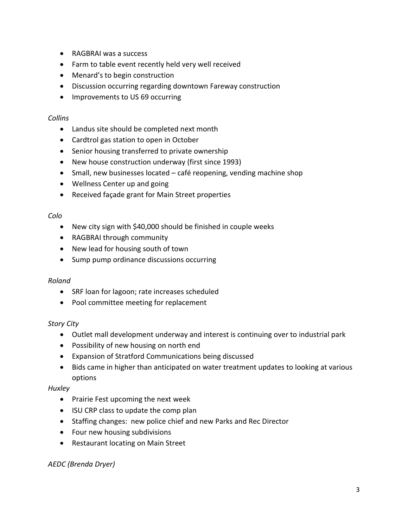- RAGBRAI was a success
- Farm to table event recently held very well received
- Menard's to begin construction
- Discussion occurring regarding downtown Fareway construction
- Improvements to US 69 occurring

#### *Collins*

- Landus site should be completed next month
- Cardtrol gas station to open in October
- Senior housing transferred to private ownership
- New house construction underway (first since 1993)
- Small, new businesses located café reopening, vending machine shop
- Wellness Center up and going
- Received façade grant for Main Street properties

#### *Colo*

- New city sign with \$40,000 should be finished in couple weeks
- RAGBRAI through community
- New lead for housing south of town
- Sump pump ordinance discussions occurring

### *Roland*

- SRF loan for lagoon; rate increases scheduled
- Pool committee meeting for replacement

### *Story City*

- Outlet mall development underway and interest is continuing over to industrial park
- Possibility of new housing on north end
- Expansion of Stratford Communications being discussed
- Bids came in higher than anticipated on water treatment updates to looking at various options

### *Huxley*

- Prairie Fest upcoming the next week
- ISU CRP class to update the comp plan
- Staffing changes: new police chief and new Parks and Rec Director
- Four new housing subdivisions
- Restaurant locating on Main Street

### *AEDC (Brenda Dryer)*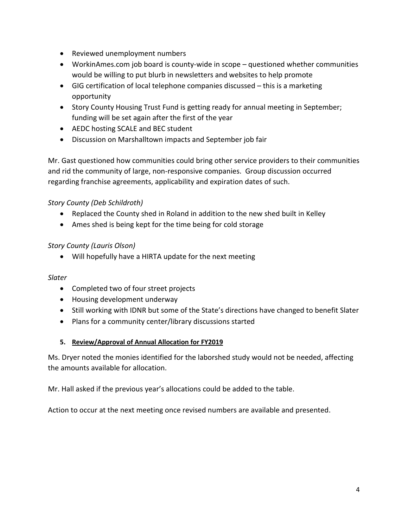- Reviewed unemployment numbers
- WorkinAmes.com job board is county-wide in scope questioned whether communities would be willing to put blurb in newsletters and websites to help promote
- GIG certification of local telephone companies discussed this is a marketing opportunity
- Story County Housing Trust Fund is getting ready for annual meeting in September; funding will be set again after the first of the year
- AEDC hosting SCALE and BEC student
- Discussion on Marshalltown impacts and September job fair

Mr. Gast questioned how communities could bring other service providers to their communities and rid the community of large, non-responsive companies. Group discussion occurred regarding franchise agreements, applicability and expiration dates of such.

## *Story County (Deb Schildroth)*

- Replaced the County shed in Roland in addition to the new shed built in Kelley
- Ames shed is being kept for the time being for cold storage

## *Story County (Lauris Olson)*

• Will hopefully have a HIRTA update for the next meeting

### *Slater*

- Completed two of four street projects
- Housing development underway
- Still working with IDNR but some of the State's directions have changed to benefit Slater
- Plans for a community center/library discussions started

### **5. Review/Approval of Annual Allocation for FY2019**

Ms. Dryer noted the monies identified for the laborshed study would not be needed, affecting the amounts available for allocation.

Mr. Hall asked if the previous year's allocations could be added to the table.

Action to occur at the next meeting once revised numbers are available and presented.